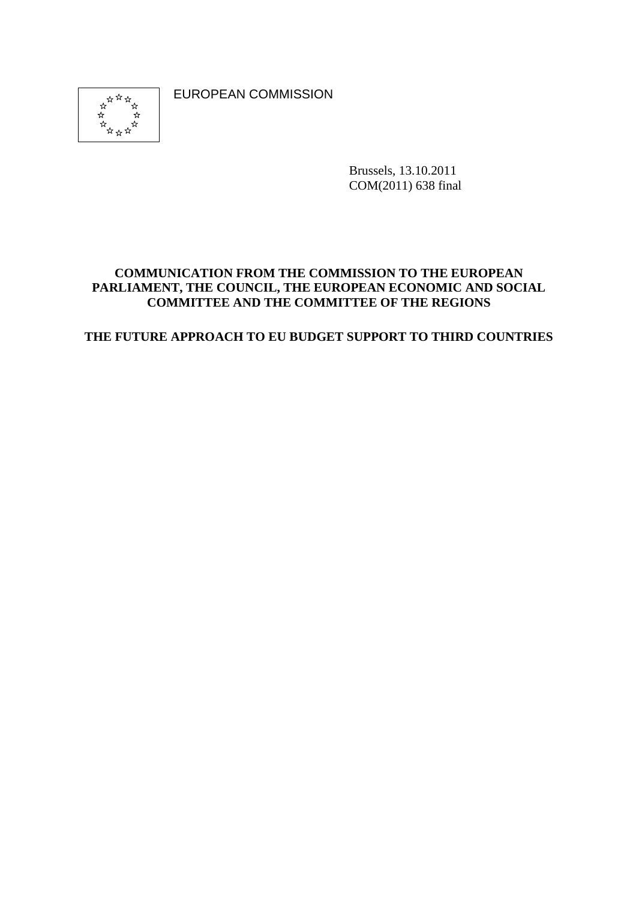EUROPEAN COMMISSION



Brussels, 13.10.2011 COM(2011) 638 final

#### **COMMUNICATION FROM THE COMMISSION TO THE EUROPEAN PARLIAMENT, THE COUNCIL, THE EUROPEAN ECONOMIC AND SOCIAL COMMITTEE AND THE COMMITTEE OF THE REGIONS**

**THE FUTURE APPROACH TO EU BUDGET SUPPORT TO THIRD COUNTRIES**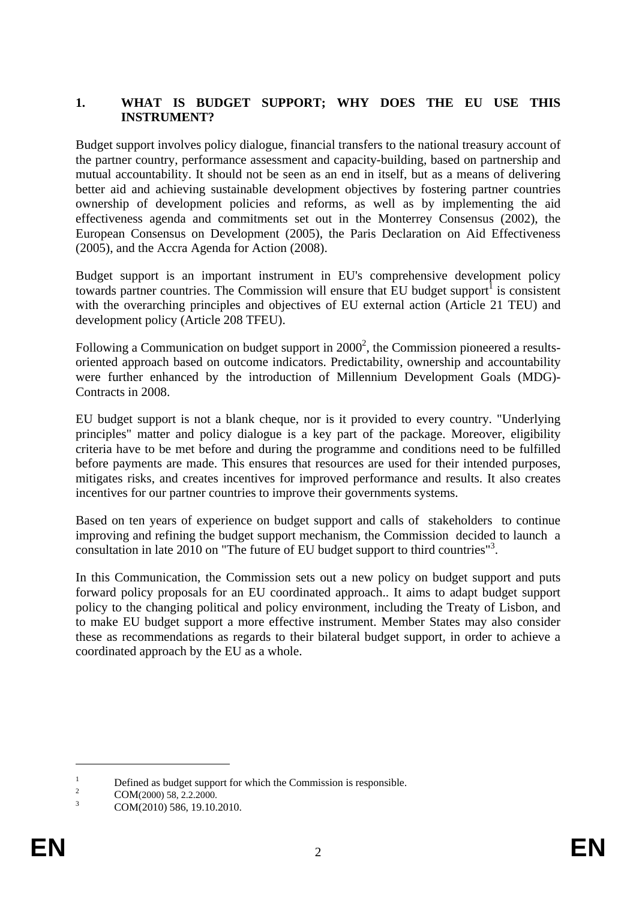#### **1. WHAT IS BUDGET SUPPORT; WHY DOES THE EU USE THIS INSTRUMENT?**

Budget support involves policy dialogue, financial transfers to the national treasury account of the partner country, performance assessment and capacity-building, based on partnership and mutual accountability. It should not be seen as an end in itself, but as a means of delivering better aid and achieving sustainable development objectives by fostering partner countries ownership of development policies and reforms, as well as by implementing the aid effectiveness agenda and commitments set out in the Monterrey Consensus (2002), the European Consensus on Development (2005), the Paris Declaration on Aid Effectiveness (2005), and the Accra Agenda for Action (2008).

Budget support is an important instrument in EU's comprehensive development policy towards partner countries. The Commission will ensure that  $\text{EU}$  budget support<sup>1</sup> is consistent with the overarching principles and objectives of EU external action (Article 21 TEU) and development policy (Article 208 TFEU).

Following a Communication on budget support in  $2000^2$ , the Commission pioneered a resultsoriented approach based on outcome indicators. Predictability, ownership and accountability were further enhanced by the introduction of Millennium Development Goals (MDG)- Contracts in 2008.

EU budget support is not a blank cheque, nor is it provided to every country. "Underlying principles" matter and policy dialogue is a key part of the package. Moreover, eligibility criteria have to be met before and during the programme and conditions need to be fulfilled before payments are made. This ensures that resources are used for their intended purposes, mitigates risks, and creates incentives for improved performance and results. It also creates incentives for our partner countries to improve their governments systems.

Based on ten years of experience on budget support and calls of stakeholders to continue improving and refining the budget support mechanism, the Commission decided to launch a consultation in late 2010 on "The future of EU budget support to third countries"<sup>3</sup> .

In this Communication, the Commission sets out a new policy on budget support and puts forward policy proposals for an EU coordinated approach.. It aims to adapt budget support policy to the changing political and policy environment, including the Treaty of Lisbon, and to make EU budget support a more effective instrument. Member States may also consider these as recommendations as regards to their bilateral budget support, in order to achieve a coordinated approach by the EU as a whole.

1

<sup>1</sup> Defined as budget support for which the Commission is responsible.

 $\overline{2}$  $\frac{2}{3}$  COM(2000) 58, 2.2.2000.

COM(2010) 586, 19.10.2010.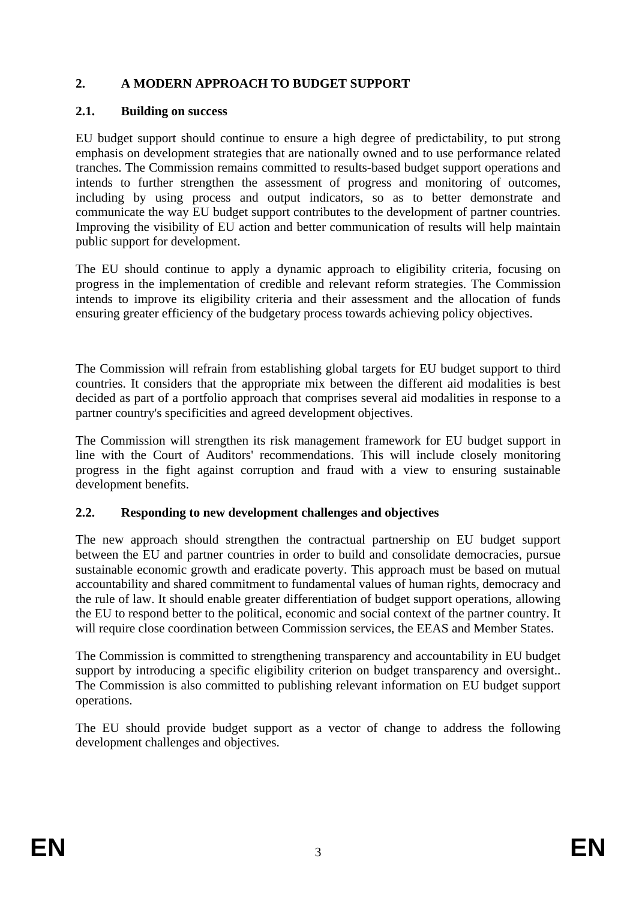# **2. A MODERN APPROACH TO BUDGET SUPPORT**

#### **2.1. Building on success**

EU budget support should continue to ensure a high degree of predictability, to put strong emphasis on development strategies that are nationally owned and to use performance related tranches. The Commission remains committed to results-based budget support operations and intends to further strengthen the assessment of progress and monitoring of outcomes, including by using process and output indicators, so as to better demonstrate and communicate the way EU budget support contributes to the development of partner countries. Improving the visibility of EU action and better communication of results will help maintain public support for development.

The EU should continue to apply a dynamic approach to eligibility criteria, focusing on progress in the implementation of credible and relevant reform strategies. The Commission intends to improve its eligibility criteria and their assessment and the allocation of funds ensuring greater efficiency of the budgetary process towards achieving policy objectives.

The Commission will refrain from establishing global targets for EU budget support to third countries. It considers that the appropriate mix between the different aid modalities is best decided as part of a portfolio approach that comprises several aid modalities in response to a partner country's specificities and agreed development objectives.

The Commission will strengthen its risk management framework for EU budget support in line with the Court of Auditors' recommendations. This will include closely monitoring progress in the fight against corruption and fraud with a view to ensuring sustainable development benefits.

## **2.2. Responding to new development challenges and objectives**

The new approach should strengthen the contractual partnership on EU budget support between the EU and partner countries in order to build and consolidate democracies, pursue sustainable economic growth and eradicate poverty. This approach must be based on mutual accountability and shared commitment to fundamental values of human rights, democracy and the rule of law. It should enable greater differentiation of budget support operations, allowing the EU to respond better to the political, economic and social context of the partner country. It will require close coordination between Commission services, the EEAS and Member States.

The Commission is committed to strengthening transparency and accountability in EU budget support by introducing a specific eligibility criterion on budget transparency and oversight.. The Commission is also committed to publishing relevant information on EU budget support operations.

The EU should provide budget support as a vector of change to address the following development challenges and objectives.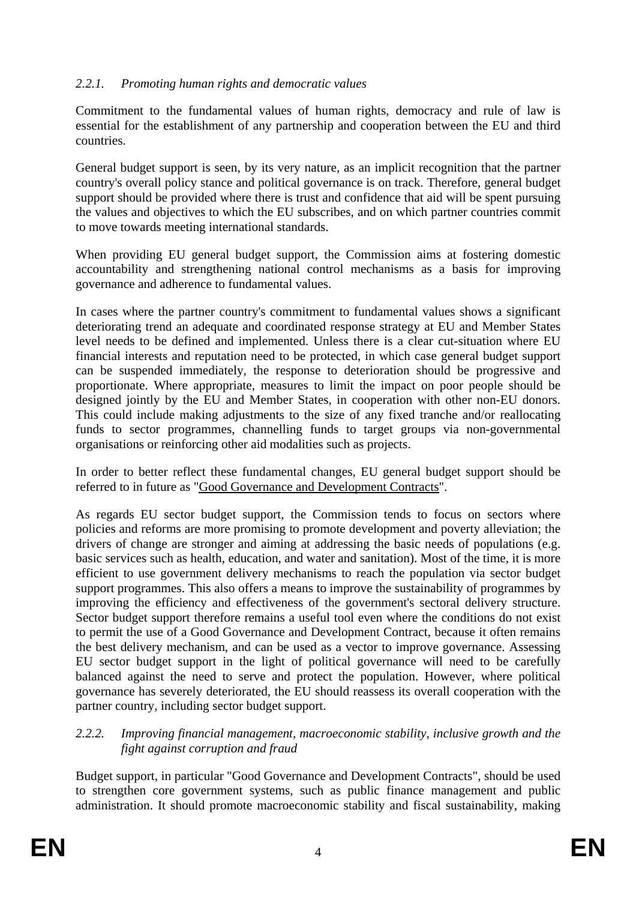# *2.2.1. Promoting human rights and democratic values*

Commitment to the fundamental values of human rights, democracy and rule of law is essential for the establishment of any partnership and cooperation between the EU and third countries.

General budget support is seen, by its very nature, as an implicit recognition that the partner country's overall policy stance and political governance is on track. Therefore, general budget support should be provided where there is trust and confidence that aid will be spent pursuing the values and objectives to which the EU subscribes, and on which partner countries commit to move towards meeting international standards.

When providing EU general budget support, the Commission aims at fostering domestic accountability and strengthening national control mechanisms as a basis for improving governance and adherence to fundamental values.

In cases where the partner country's commitment to fundamental values shows a significant deteriorating trend an adequate and coordinated response strategy at EU and Member States level needs to be defined and implemented. Unless there is a clear cut-situation where EU financial interests and reputation need to be protected, in which case general budget support can be suspended immediately, the response to deterioration should be progressive and proportionate. Where appropriate, measures to limit the impact on poor people should be designed jointly by the EU and Member States, in cooperation with other non-EU donors. This could include making adjustments to the size of any fixed tranche and/or reallocating funds to sector programmes, channelling funds to target groups via non-governmental organisations or reinforcing other aid modalities such as projects.

In order to better reflect these fundamental changes, EU general budget support should be referred to in future as "Good Governance and Development Contracts".

As regards EU sector budget support, the Commission tends to focus on sectors where policies and reforms are more promising to promote development and poverty alleviation; the drivers of change are stronger and aiming at addressing the basic needs of populations (e.g. basic services such as health, education, and water and sanitation). Most of the time, it is more efficient to use government delivery mechanisms to reach the population via sector budget support programmes. This also offers a means to improve the sustainability of programmes by improving the efficiency and effectiveness of the government's sectoral delivery structure. Sector budget support therefore remains a useful tool even where the conditions do not exist to permit the use of a Good Governance and Development Contract, because it often remains the best delivery mechanism, and can be used as a vector to improve governance. Assessing EU sector budget support in the light of political governance will need to be carefully balanced against the need to serve and protect the population. However, where political governance has severely deteriorated, the EU should reassess its overall cooperation with the partner country, including sector budget support.

#### *2.2.2. Improving financial management, macroeconomic stability, inclusive growth and the fight against corruption and fraud*

Budget support, in particular "Good Governance and Development Contracts", should be used to strengthen core government systems, such as public finance management and public administration. It should promote macroeconomic stability and fiscal sustainability, making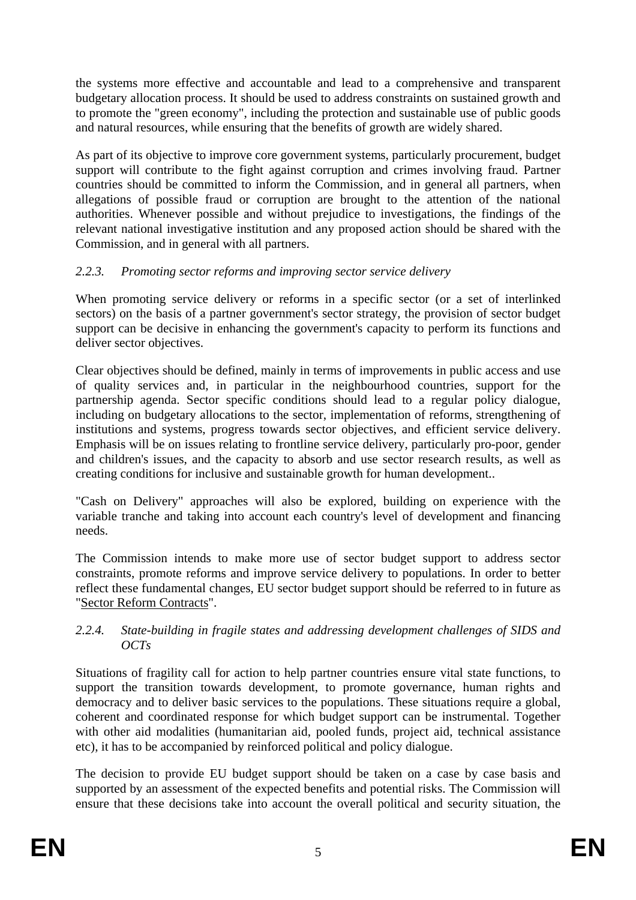the systems more effective and accountable and lead to a comprehensive and transparent budgetary allocation process. It should be used to address constraints on sustained growth and to promote the "green economy", including the protection and sustainable use of public goods and natural resources, while ensuring that the benefits of growth are widely shared.

As part of its objective to improve core government systems, particularly procurement, budget support will contribute to the fight against corruption and crimes involving fraud. Partner countries should be committed to inform the Commission, and in general all partners, when allegations of possible fraud or corruption are brought to the attention of the national authorities. Whenever possible and without prejudice to investigations, the findings of the relevant national investigative institution and any proposed action should be shared with the Commission, and in general with all partners.

# *2.2.3. Promoting sector reforms and improving sector service delivery*

When promoting service delivery or reforms in a specific sector (or a set of interlinked sectors) on the basis of a partner government's sector strategy, the provision of sector budget support can be decisive in enhancing the government's capacity to perform its functions and deliver sector objectives.

Clear objectives should be defined, mainly in terms of improvements in public access and use of quality services and, in particular in the neighbourhood countries, support for the partnership agenda. Sector specific conditions should lead to a regular policy dialogue, including on budgetary allocations to the sector, implementation of reforms, strengthening of institutions and systems, progress towards sector objectives, and efficient service delivery. Emphasis will be on issues relating to frontline service delivery, particularly pro-poor, gender and children's issues, and the capacity to absorb and use sector research results, as well as creating conditions for inclusive and sustainable growth for human development..

"Cash on Delivery" approaches will also be explored, building on experience with the variable tranche and taking into account each country's level of development and financing needs.

The Commission intends to make more use of sector budget support to address sector constraints, promote reforms and improve service delivery to populations. In order to better reflect these fundamental changes, EU sector budget support should be referred to in future as "Sector Reform Contracts".

## *2.2.4. State-building in fragile states and addressing development challenges of SIDS and OCTs*

Situations of fragility call for action to help partner countries ensure vital state functions, to support the transition towards development, to promote governance, human rights and democracy and to deliver basic services to the populations. These situations require a global, coherent and coordinated response for which budget support can be instrumental. Together with other aid modalities (humanitarian aid, pooled funds, project aid, technical assistance etc), it has to be accompanied by reinforced political and policy dialogue.

The decision to provide EU budget support should be taken on a case by case basis and supported by an assessment of the expected benefits and potential risks. The Commission will ensure that these decisions take into account the overall political and security situation, the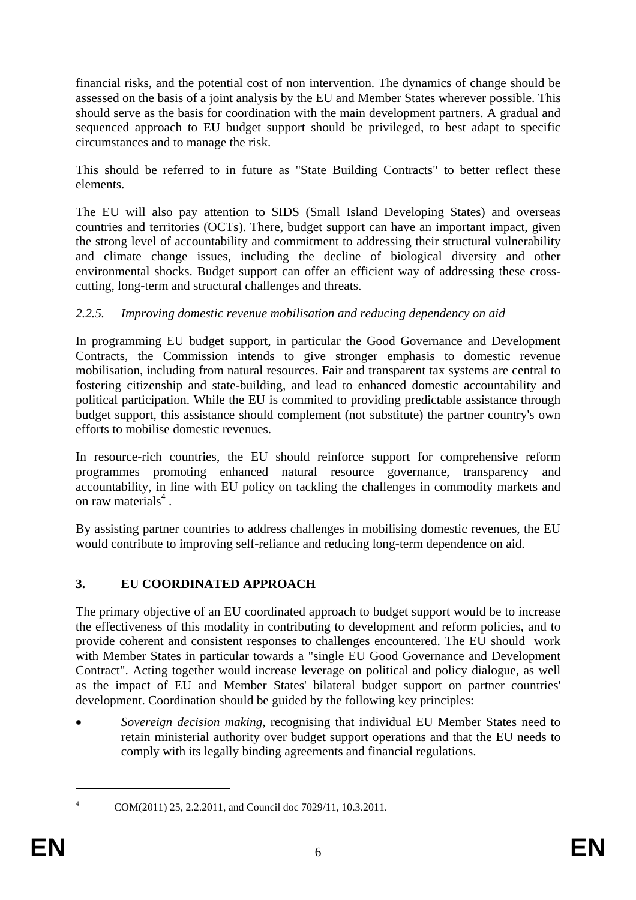financial risks, and the potential cost of non intervention. The dynamics of change should be assessed on the basis of a joint analysis by the EU and Member States wherever possible. This should serve as the basis for coordination with the main development partners. A gradual and sequenced approach to EU budget support should be privileged, to best adapt to specific circumstances and to manage the risk.

This should be referred to in future as "State Building Contracts" to better reflect these elements.

The EU will also pay attention to SIDS (Small Island Developing States) and overseas countries and territories (OCTs). There, budget support can have an important impact, given the strong level of accountability and commitment to addressing their structural vulnerability and climate change issues, including the decline of biological diversity and other environmental shocks. Budget support can offer an efficient way of addressing these crosscutting, long-term and structural challenges and threats.

# *2.2.5. Improving domestic revenue mobilisation and reducing dependency on aid*

In programming EU budget support, in particular the Good Governance and Development Contracts, the Commission intends to give stronger emphasis to domestic revenue mobilisation, including from natural resources. Fair and transparent tax systems are central to fostering citizenship and state-building, and lead to enhanced domestic accountability and political participation. While the EU is commited to providing predictable assistance through budget support, this assistance should complement (not substitute) the partner country's own efforts to mobilise domestic revenues.

In resource-rich countries, the EU should reinforce support for comprehensive reform programmes promoting enhanced natural resource governance, transparency and accountability, in line with EU policy on tackling the challenges in commodity markets and on raw materials<sup>4</sup>.

By assisting partner countries to address challenges in mobilising domestic revenues, the EU would contribute to improving self-reliance and reducing long-term dependence on aid.

# **3. EU COORDINATED APPROACH**

The primary objective of an EU coordinated approach to budget support would be to increase the effectiveness of this modality in contributing to development and reform policies, and to provide coherent and consistent responses to challenges encountered. The EU should work with Member States in particular towards a "single EU Good Governance and Development Contract". Acting together would increase leverage on political and policy dialogue, as well as the impact of EU and Member States' bilateral budget support on partner countries' development. Coordination should be guided by the following key principles:

• *Sovereign decision making*, recognising that individual EU Member States need to retain ministerial authority over budget support operations and that the EU needs to comply with its legally binding agreements and financial regulations.

<sup>1</sup> 4

COM(2011) 25, 2.2.2011, and Council doc 7029/11, 10.3.2011.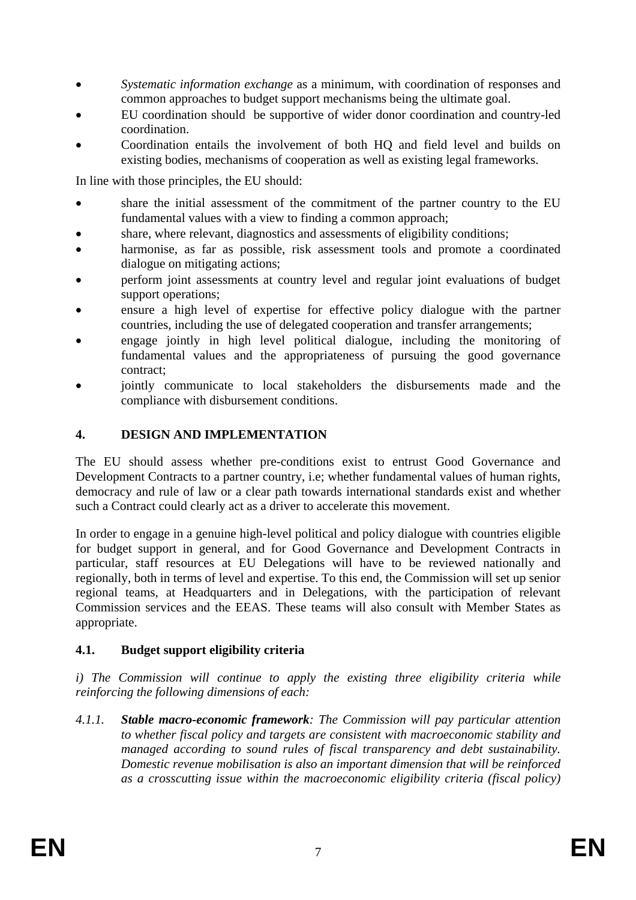- *Systematic information exchange* as a minimum, with coordination of responses and common approaches to budget support mechanisms being the ultimate goal.
- EU coordination should be supportive of wider donor coordination and country-led coordination.
- Coordination entails the involvement of both HQ and field level and builds on existing bodies, mechanisms of cooperation as well as existing legal frameworks.

In line with those principles, the EU should:

- share the initial assessment of the commitment of the partner country to the EU fundamental values with a view to finding a common approach;
- share, where relevant, diagnostics and assessments of eligibility conditions;
- harmonise, as far as possible, risk assessment tools and promote a coordinated dialogue on mitigating actions;
- perform joint assessments at country level and regular joint evaluations of budget support operations;
- ensure a high level of expertise for effective policy dialogue with the partner countries, including the use of delegated cooperation and transfer arrangements;
- engage jointly in high level political dialogue, including the monitoring of fundamental values and the appropriateness of pursuing the good governance contract;
- jointly communicate to local stakeholders the disbursements made and the compliance with disbursement conditions.

## **4. DESIGN AND IMPLEMENTATION**

The EU should assess whether pre-conditions exist to entrust Good Governance and Development Contracts to a partner country, i.e; whether fundamental values of human rights, democracy and rule of law or a clear path towards international standards exist and whether such a Contract could clearly act as a driver to accelerate this movement.

In order to engage in a genuine high-level political and policy dialogue with countries eligible for budget support in general, and for Good Governance and Development Contracts in particular, staff resources at EU Delegations will have to be reviewed nationally and regionally, both in terms of level and expertise. To this end, the Commission will set up senior regional teams, at Headquarters and in Delegations, with the participation of relevant Commission services and the EEAS. These teams will also consult with Member States as appropriate.

## **4.1. Budget support eligibility criteria**

*i) The Commission will continue to apply the existing three eligibility criteria while reinforcing the following dimensions of each:* 

*4.1.1. Stable macro-economic framework: The Commission will pay particular attention to whether fiscal policy and targets are consistent with macroeconomic stability and managed according to sound rules of fiscal transparency and debt sustainability. Domestic revenue mobilisation is also an important dimension that will be reinforced as a crosscutting issue within the macroeconomic eligibility criteria (fiscal policy)*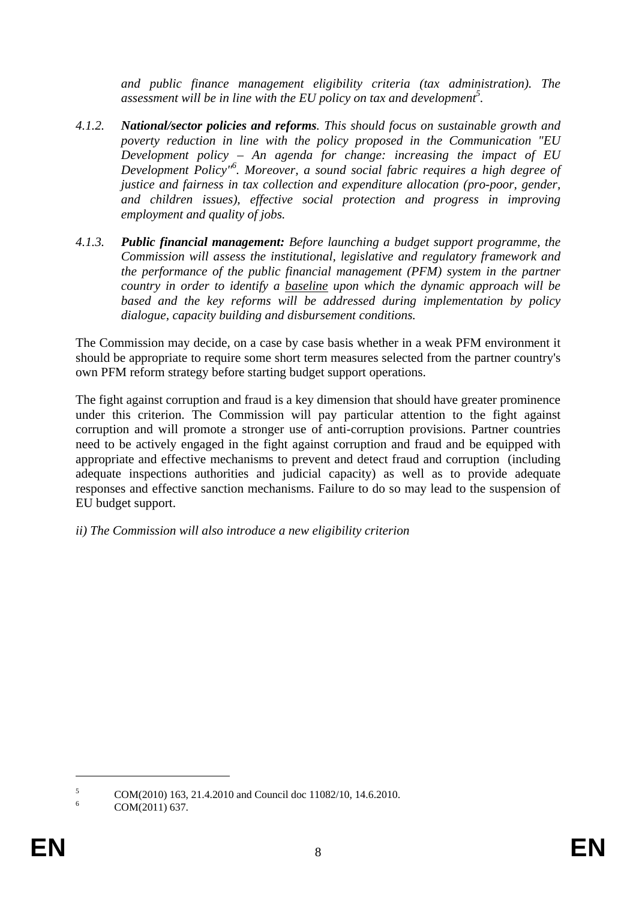*and public finance management eligibility criteria (tax administration). The*  assessment will be in line with the EU policy on tax and development<sup>5</sup>.

- *4.1.2. National/sector policies and reforms. This should focus on sustainable growth and poverty reduction in line with the policy proposed in the Communication "EU Development policy – An agenda for change: increasing the impact of EU Development Policy"6 . Moreover, a sound social fabric requires a high degree of justice and fairness in tax collection and expenditure allocation (pro-poor, gender, and children issues), effective social protection and progress in improving employment and quality of jobs.*
- *4.1.3. Public financial management: Before launching a budget support programme, the Commission will assess the institutional, legislative and regulatory framework and the performance of the public financial management (PFM) system in the partner country in order to identify a baseline upon which the dynamic approach will be based and the key reforms will be addressed during implementation by policy dialogue, capacity building and disbursement conditions.*

The Commission may decide, on a case by case basis whether in a weak PFM environment it should be appropriate to require some short term measures selected from the partner country's own PFM reform strategy before starting budget support operations.

The fight against corruption and fraud is a key dimension that should have greater prominence under this criterion. The Commission will pay particular attention to the fight against corruption and will promote a stronger use of anti-corruption provisions. Partner countries need to be actively engaged in the fight against corruption and fraud and be equipped with appropriate and effective mechanisms to prevent and detect fraud and corruption (including adequate inspections authorities and judicial capacity) as well as to provide adequate responses and effective sanction mechanisms. Failure to do so may lead to the suspension of EU budget support.

*ii) The Commission will also introduce a new eligibility criterion* 

<u>.</u>

<sup>5</sup> COM(2010) 163, 21.4.2010 and Council doc 11082/10, 14.6.2010.

<sup>6</sup> COM(2011) 637.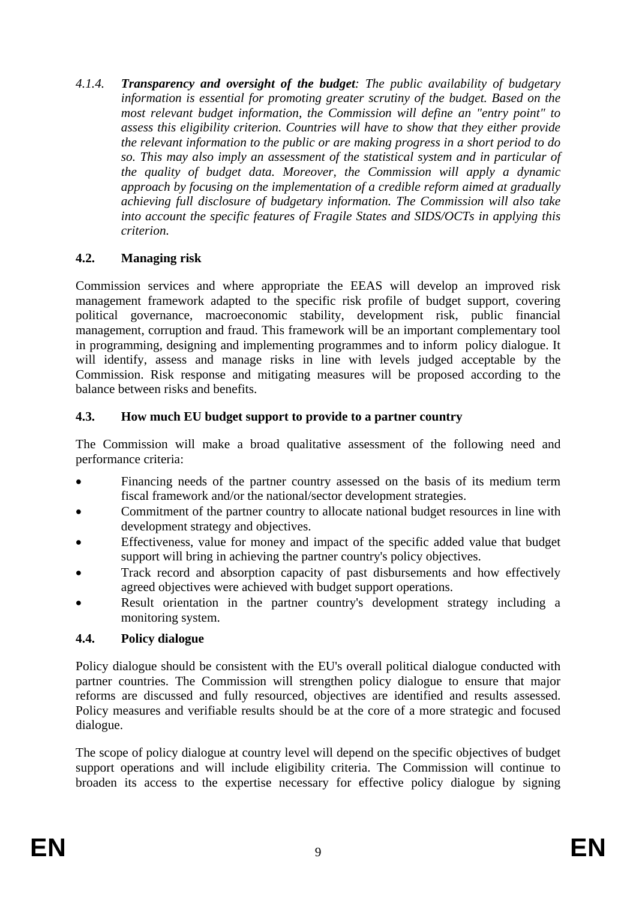*4.1.4. Transparency and oversight of the budget: The public availability of budgetary information is essential for promoting greater scrutiny of the budget. Based on the most relevant budget information, the Commission will define an "entry point" to assess this eligibility criterion. Countries will have to show that they either provide the relevant information to the public or are making progress in a short period to do so. This may also imply an assessment of the statistical system and in particular of the quality of budget data. Moreover, the Commission will apply a dynamic approach by focusing on the implementation of a credible reform aimed at gradually achieving full disclosure of budgetary information. The Commission will also take into account the specific features of Fragile States and SIDS/OCTs in applying this criterion.* 

#### **4.2. Managing risk**

Commission services and where appropriate the EEAS will develop an improved risk management framework adapted to the specific risk profile of budget support, covering political governance, macroeconomic stability, development risk, public financial management, corruption and fraud. This framework will be an important complementary tool in programming, designing and implementing programmes and to inform policy dialogue. It will identify, assess and manage risks in line with levels judged acceptable by the Commission. Risk response and mitigating measures will be proposed according to the balance between risks and benefits.

#### **4.3. How much EU budget support to provide to a partner country**

The Commission will make a broad qualitative assessment of the following need and performance criteria:

- Financing needs of the partner country assessed on the basis of its medium term fiscal framework and/or the national/sector development strategies.
- Commitment of the partner country to allocate national budget resources in line with development strategy and objectives.
- Effectiveness, value for money and impact of the specific added value that budget support will bring in achieving the partner country's policy objectives.
- Track record and absorption capacity of past disbursements and how effectively agreed objectives were achieved with budget support operations.
- Result orientation in the partner country's development strategy including a monitoring system.

## **4.4. Policy dialogue**

Policy dialogue should be consistent with the EU's overall political dialogue conducted with partner countries. The Commission will strengthen policy dialogue to ensure that major reforms are discussed and fully resourced, objectives are identified and results assessed. Policy measures and verifiable results should be at the core of a more strategic and focused dialogue.

The scope of policy dialogue at country level will depend on the specific objectives of budget support operations and will include eligibility criteria. The Commission will continue to broaden its access to the expertise necessary for effective policy dialogue by signing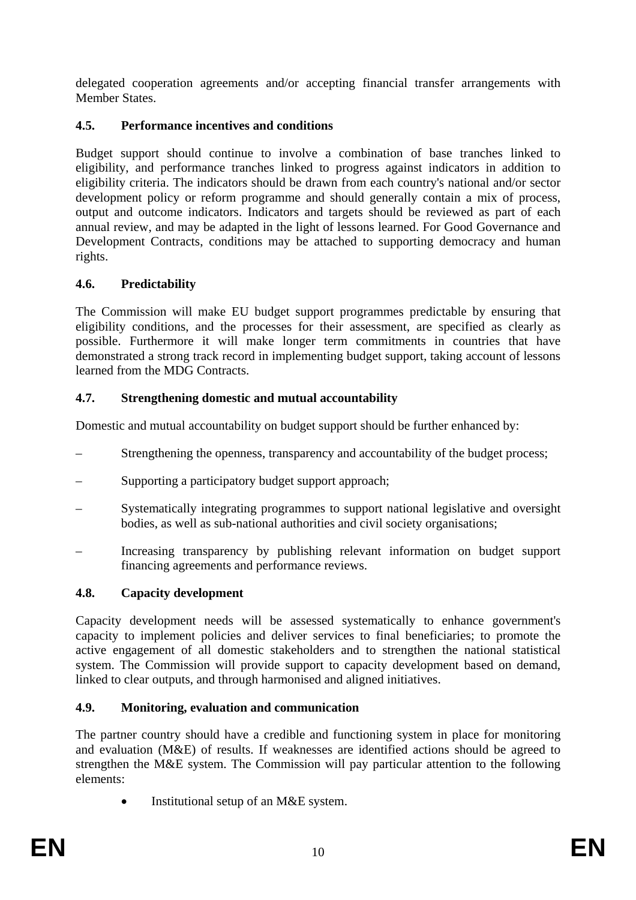delegated cooperation agreements and/or accepting financial transfer arrangements with Member States.

# **4.5. Performance incentives and conditions**

Budget support should continue to involve a combination of base tranches linked to eligibility, and performance tranches linked to progress against indicators in addition to eligibility criteria. The indicators should be drawn from each country's national and/or sector development policy or reform programme and should generally contain a mix of process, output and outcome indicators. Indicators and targets should be reviewed as part of each annual review, and may be adapted in the light of lessons learned. For Good Governance and Development Contracts, conditions may be attached to supporting democracy and human rights.

# **4.6. Predictability**

The Commission will make EU budget support programmes predictable by ensuring that eligibility conditions, and the processes for their assessment, are specified as clearly as possible. Furthermore it will make longer term commitments in countries that have demonstrated a strong track record in implementing budget support, taking account of lessons learned from the MDG Contracts.

# **4.7. Strengthening domestic and mutual accountability**

Domestic and mutual accountability on budget support should be further enhanced by:

- Strengthening the openness, transparency and accountability of the budget process;
- Supporting a participatory budget support approach;
- Systematically integrating programmes to support national legislative and oversight bodies, as well as sub-national authorities and civil society organisations;
- Increasing transparency by publishing relevant information on budget support financing agreements and performance reviews.

## **4.8. Capacity development**

Capacity development needs will be assessed systematically to enhance government's capacity to implement policies and deliver services to final beneficiaries; to promote the active engagement of all domestic stakeholders and to strengthen the national statistical system. The Commission will provide support to capacity development based on demand, linked to clear outputs, and through harmonised and aligned initiatives.

## **4.9. Monitoring, evaluation and communication**

The partner country should have a credible and functioning system in place for monitoring and evaluation (M&E) of results. If weaknesses are identified actions should be agreed to strengthen the M&E system. The Commission will pay particular attention to the following elements:

Institutional setup of an M&E system.